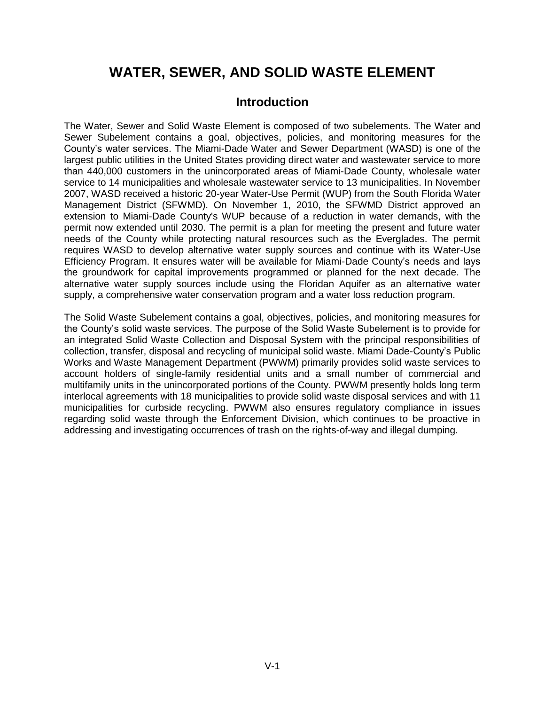# **WATER, SEWER, AND SOLID WASTE ELEMENT**

## **Introduction**

The Water, Sewer and Solid Waste Element is composed of two subelements. The Water and Sewer Subelement contains a goal, objectives, policies, and monitoring measures for the County's water services. The Miami-Dade Water and Sewer Department (WASD) is one of the largest public utilities in the United States providing direct water and wastewater service to more than 440,000 customers in the unincorporated areas of Miami-Dade County, wholesale water service to 14 municipalities and wholesale wastewater service to 13 municipalities. In November 2007, WASD received a historic 20-year Water-Use Permit (WUP) from the South Florida Water Management District (SFWMD). On November 1, 2010, the SFWMD District approved an extension to Miami-Dade County's WUP because of a reduction in water demands, with the permit now extended until 2030. The permit is a plan for meeting the present and future water needs of the County while protecting natural resources such as the Everglades. The permit requires WASD to develop alternative water supply sources and continue with its Water-Use Efficiency Program. It ensures water will be available for Miami-Dade County's needs and lays the groundwork for capital improvements programmed or planned for the next decade. The alternative water supply sources include using the Floridan Aquifer as an alternative water supply, a comprehensive water conservation program and a water loss reduction program.

The Solid Waste Subelement contains a goal, objectives, policies, and monitoring measures for the County's solid waste services. The purpose of the Solid Waste Subelement is to provide for an integrated Solid Waste Collection and Disposal System with the principal responsibilities of collection, transfer, disposal and recycling of municipal solid waste. Miami Dade-County's Public Works and Waste Management Department (PWWM) primarily provides solid waste services to account holders of single-family residential units and a small number of commercial and multifamily units in the unincorporated portions of the County. PWWM presently holds long term interlocal agreements with 18 municipalities to provide solid waste disposal services and with 11 municipalities for curbside recycling. PWWM also ensures regulatory compliance in issues regarding solid waste through the Enforcement Division, which continues to be proactive in addressing and investigating occurrences of trash on the rights-of-way and illegal dumping.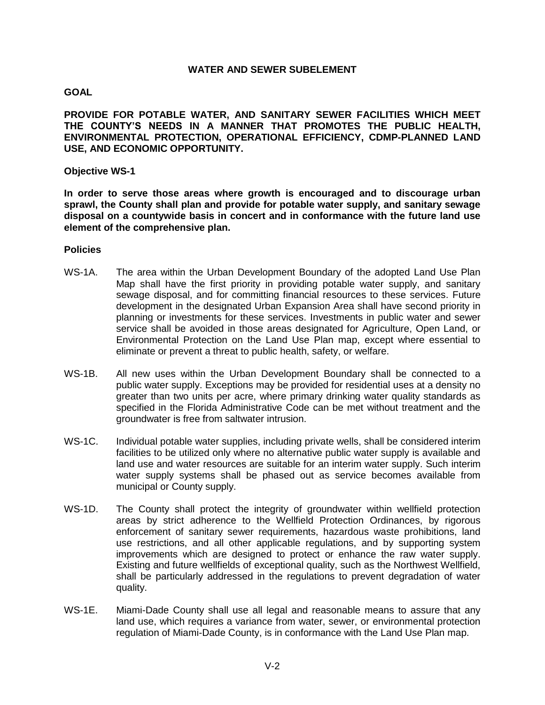#### **WATER AND SEWER SUBELEMENT**

## **GOAL**

**PROVIDE FOR POTABLE WATER, AND SANITARY SEWER FACILITIES WHICH MEET THE COUNTY'S NEEDS IN A MANNER THAT PROMOTES THE PUBLIC HEALTH, ENVIRONMENTAL PROTECTION, OPERATIONAL EFFICIENCY, CDMP-PLANNED LAND USE, AND ECONOMIC OPPORTUNITY.** 

## **Objective WS-1**

**In order to serve those areas where growth is encouraged and to discourage urban sprawl, the County shall plan and provide for potable water supply, and sanitary sewage disposal on a countywide basis in concert and in conformance with the future land use element of the comprehensive plan.**

- WS-1A. The area within the Urban Development Boundary of the adopted Land Use Plan Map shall have the first priority in providing potable water supply, and sanitary sewage disposal, and for committing financial resources to these services. Future development in the designated Urban Expansion Area shall have second priority in planning or investments for these services. Investments in public water and sewer service shall be avoided in those areas designated for Agriculture, Open Land, or Environmental Protection on the Land Use Plan map, except where essential to eliminate or prevent a threat to public health, safety, or welfare.
- WS-1B. All new uses within the Urban Development Boundary shall be connected to a public water supply. Exceptions may be provided for residential uses at a density no greater than two units per acre, where primary drinking water quality standards as specified in the Florida Administrative Code can be met without treatment and the groundwater is free from saltwater intrusion.
- WS-1C. Individual potable water supplies, including private wells, shall be considered interim facilities to be utilized only where no alternative public water supply is available and land use and water resources are suitable for an interim water supply. Such interim water supply systems shall be phased out as service becomes available from municipal or County supply.
- WS-1D. The County shall protect the integrity of groundwater within wellfield protection areas by strict adherence to the Wellfield Protection Ordinances, by rigorous enforcement of sanitary sewer requirements, hazardous waste prohibitions, land use restrictions, and all other applicable regulations, and by supporting system improvements which are designed to protect or enhance the raw water supply. Existing and future wellfields of exceptional quality, such as the Northwest Wellfield, shall be particularly addressed in the regulations to prevent degradation of water quality.
- WS-1E. Miami-Dade County shall use all legal and reasonable means to assure that any land use, which requires a variance from water, sewer, or environmental protection regulation of Miami-Dade County, is in conformance with the Land Use Plan map.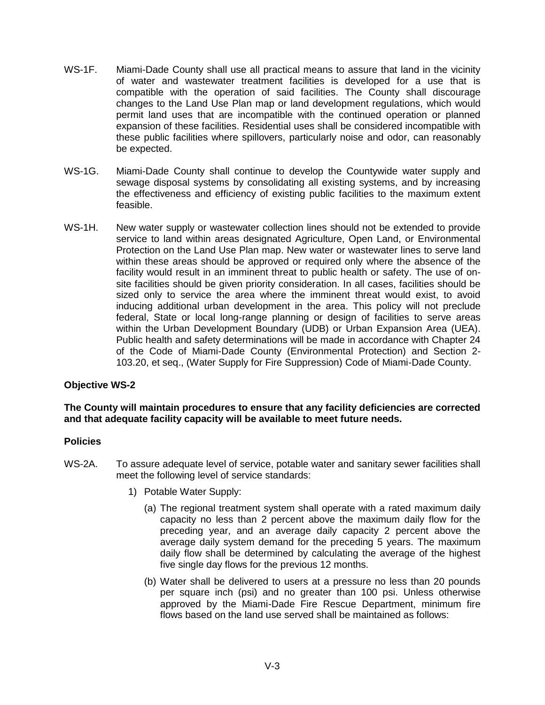- WS-1F. Miami-Dade County shall use all practical means to assure that land in the vicinity of water and wastewater treatment facilities is developed for a use that is compatible with the operation of said facilities. The County shall discourage changes to the Land Use Plan map or land development regulations, which would permit land uses that are incompatible with the continued operation or planned expansion of these facilities. Residential uses shall be considered incompatible with these public facilities where spillovers, particularly noise and odor, can reasonably be expected.
- WS-1G. Miami-Dade County shall continue to develop the Countywide water supply and sewage disposal systems by consolidating all existing systems, and by increasing the effectiveness and efficiency of existing public facilities to the maximum extent feasible.
- WS-1H. New water supply or wastewater collection lines should not be extended to provide service to land within areas designated Agriculture, Open Land, or Environmental Protection on the Land Use Plan map. New water or wastewater lines to serve land within these areas should be approved or required only where the absence of the facility would result in an imminent threat to public health or safety. The use of onsite facilities should be given priority consideration. In all cases, facilities should be sized only to service the area where the imminent threat would exist, to avoid inducing additional urban development in the area. This policy will not preclude federal, State or local long-range planning or design of facilities to serve areas within the Urban Development Boundary (UDB) or Urban Expansion Area (UEA). Public health and safety determinations will be made in accordance with Chapter 24 of the Code of Miami-Dade County (Environmental Protection) and Section 2- 103.20, et seq., (Water Supply for Fire Suppression) Code of Miami-Dade County.

## **The County will maintain procedures to ensure that any facility deficiencies are corrected and that adequate facility capacity will be available to meet future needs.**

- WS-2A. To assure adequate level of service, potable water and sanitary sewer facilities shall meet the following level of service standards:
	- 1) Potable Water Supply:
		- (a) The regional treatment system shall operate with a rated maximum daily capacity no less than 2 percent above the maximum daily flow for the preceding year, and an average daily capacity 2 percent above the average daily system demand for the preceding 5 years. The maximum daily flow shall be determined by calculating the average of the highest five single day flows for the previous 12 months.
		- (b) Water shall be delivered to users at a pressure no less than 20 pounds per square inch (psi) and no greater than 100 psi. Unless otherwise approved by the Miami-Dade Fire Rescue Department, minimum fire flows based on the land use served shall be maintained as follows: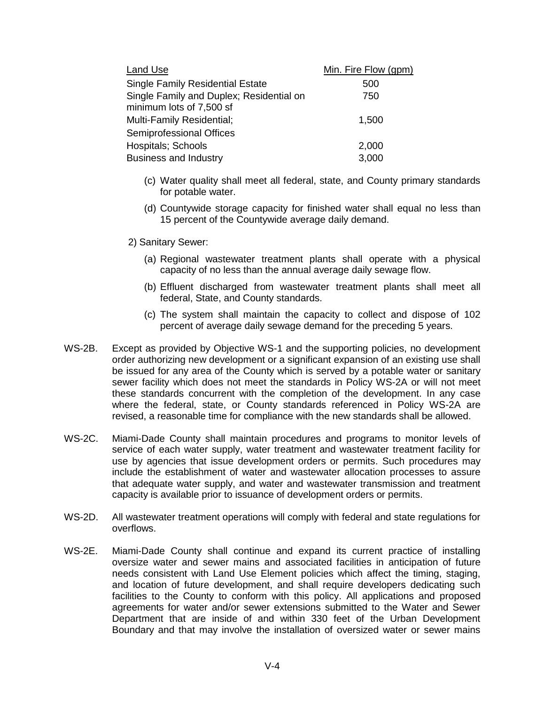| Land Use                                                             | Min. Fire Flow (gpm) |  |  |
|----------------------------------------------------------------------|----------------------|--|--|
| <b>Single Family Residential Estate</b>                              | 500                  |  |  |
| Single Family and Duplex; Residential on<br>minimum lots of 7,500 sf | 750                  |  |  |
| Multi-Family Residential;                                            | 1,500                |  |  |
| Semiprofessional Offices                                             |                      |  |  |
| Hospitals; Schools                                                   | 2,000                |  |  |
| <b>Business and Industry</b>                                         | 3,000                |  |  |

- (c) Water quality shall meet all federal, state, and County primary standards for potable water.
- (d) Countywide storage capacity for finished water shall equal no less than 15 percent of the Countywide average daily demand.
- 2) Sanitary Sewer:
	- (a) Regional wastewater treatment plants shall operate with a physical capacity of no less than the annual average daily sewage flow.
	- (b) Effluent discharged from wastewater treatment plants shall meet all federal, State, and County standards.
	- (c) The system shall maintain the capacity to collect and dispose of 102 percent of average daily sewage demand for the preceding 5 years.
- WS-2B. Except as provided by Objective WS-1 and the supporting policies, no development order authorizing new development or a significant expansion of an existing use shall be issued for any area of the County which is served by a potable water or sanitary sewer facility which does not meet the standards in Policy WS-2A or will not meet these standards concurrent with the completion of the development. In any case where the federal, state, or County standards referenced in Policy WS-2A are revised, a reasonable time for compliance with the new standards shall be allowed.
- WS-2C. Miami-Dade County shall maintain procedures and programs to monitor levels of service of each water supply, water treatment and wastewater treatment facility for use by agencies that issue development orders or permits. Such procedures may include the establishment of water and wastewater allocation processes to assure that adequate water supply, and water and wastewater transmission and treatment capacity is available prior to issuance of development orders or permits.
- WS-2D. All wastewater treatment operations will comply with federal and state regulations for overflows.
- WS-2E. Miami-Dade County shall continue and expand its current practice of installing oversize water and sewer mains and associated facilities in anticipation of future needs consistent with Land Use Element policies which affect the timing, staging, and location of future development, and shall require developers dedicating such facilities to the County to conform with this policy. All applications and proposed agreements for water and/or sewer extensions submitted to the Water and Sewer Department that are inside of and within 330 feet of the Urban Development Boundary and that may involve the installation of oversized water or sewer mains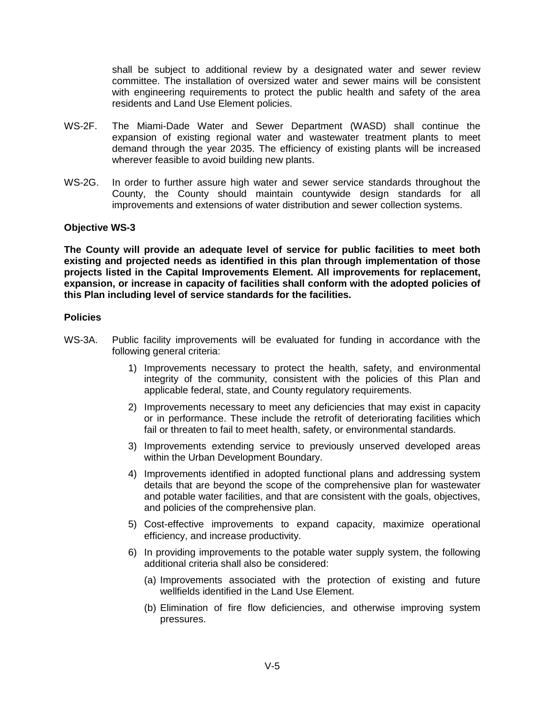shall be subject to additional review by a designated water and sewer review committee. The installation of oversized water and sewer mains will be consistent with engineering requirements to protect the public health and safety of the area residents and Land Use Element policies.

- WS-2F. The Miami-Dade Water and Sewer Department (WASD) shall continue the expansion of existing regional water and wastewater treatment plants to meet demand through the year 2035. The efficiency of existing plants will be increased wherever feasible to avoid building new plants.
- WS-2G. In order to further assure high water and sewer service standards throughout the County, the County should maintain countywide design standards for all improvements and extensions of water distribution and sewer collection systems.

## **Objective WS-3**

**The County will provide an adequate level of service for public facilities to meet both existing and projected needs as identified in this plan through implementation of those projects listed in the Capital Improvements Element. All improvements for replacement, expansion, or increase in capacity of facilities shall conform with the adopted policies of this Plan including level of service standards for the facilities.**

- WS-3A. Public facility improvements will be evaluated for funding in accordance with the following general criteria:
	- 1) Improvements necessary to protect the health, safety, and environmental integrity of the community, consistent with the policies of this Plan and applicable federal, state, and County regulatory requirements.
	- 2) Improvements necessary to meet any deficiencies that may exist in capacity or in performance. These include the retrofit of deteriorating facilities which fail or threaten to fail to meet health, safety, or environmental standards.
	- 3) Improvements extending service to previously unserved developed areas within the Urban Development Boundary.
	- 4) Improvements identified in adopted functional plans and addressing system details that are beyond the scope of the comprehensive plan for wastewater and potable water facilities, and that are consistent with the goals, objectives, and policies of the comprehensive plan.
	- 5) Cost-effective improvements to expand capacity, maximize operational efficiency, and increase productivity.
	- 6) In providing improvements to the potable water supply system, the following additional criteria shall also be considered:
		- (a) Improvements associated with the protection of existing and future wellfields identified in the Land Use Element.
		- (b) Elimination of fire flow deficiencies, and otherwise improving system pressures.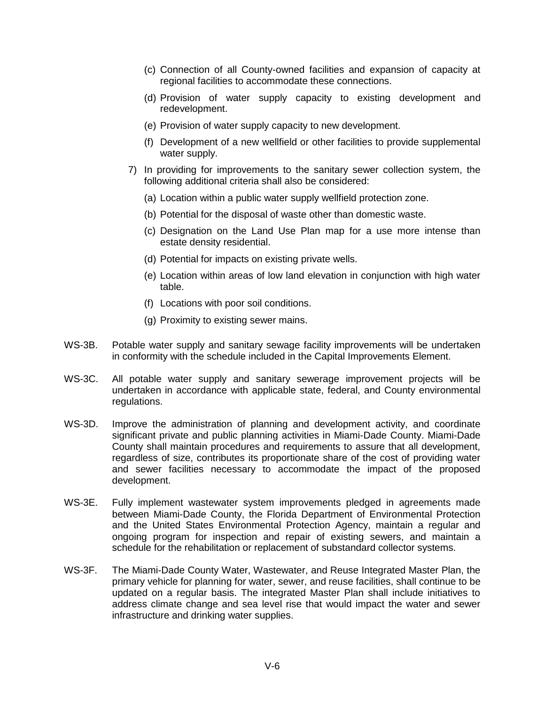- (c) Connection of all County-owned facilities and expansion of capacity at regional facilities to accommodate these connections.
- (d) Provision of water supply capacity to existing development and redevelopment.
- (e) Provision of water supply capacity to new development.
- (f) Development of a new wellfield or other facilities to provide supplemental water supply.
- 7) In providing for improvements to the sanitary sewer collection system, the following additional criteria shall also be considered:
	- (a) Location within a public water supply wellfield protection zone.
	- (b) Potential for the disposal of waste other than domestic waste.
	- (c) Designation on the Land Use Plan map for a use more intense than estate density residential.
	- (d) Potential for impacts on existing private wells.
	- (e) Location within areas of low land elevation in conjunction with high water table.
	- (f) Locations with poor soil conditions.
	- (g) Proximity to existing sewer mains.
- WS-3B. Potable water supply and sanitary sewage facility improvements will be undertaken in conformity with the schedule included in the Capital Improvements Element.
- WS-3C. All potable water supply and sanitary sewerage improvement projects will be undertaken in accordance with applicable state, federal, and County environmental regulations.
- WS-3D. Improve the administration of planning and development activity, and coordinate significant private and public planning activities in Miami-Dade County. Miami-Dade County shall maintain procedures and requirements to assure that all development, regardless of size, contributes its proportionate share of the cost of providing water and sewer facilities necessary to accommodate the impact of the proposed development.
- WS-3E. Fully implement wastewater system improvements pledged in agreements made between Miami-Dade County, the Florida Department of Environmental Protection and the United States Environmental Protection Agency, maintain a regular and ongoing program for inspection and repair of existing sewers, and maintain a schedule for the rehabilitation or replacement of substandard collector systems.
- WS-3F. The Miami-Dade County Water, Wastewater, and Reuse Integrated Master Plan, the primary vehicle for planning for water, sewer, and reuse facilities, shall continue to be updated on a regular basis. The integrated Master Plan shall include initiatives to address climate change and sea level rise that would impact the water and sewer infrastructure and drinking water supplies.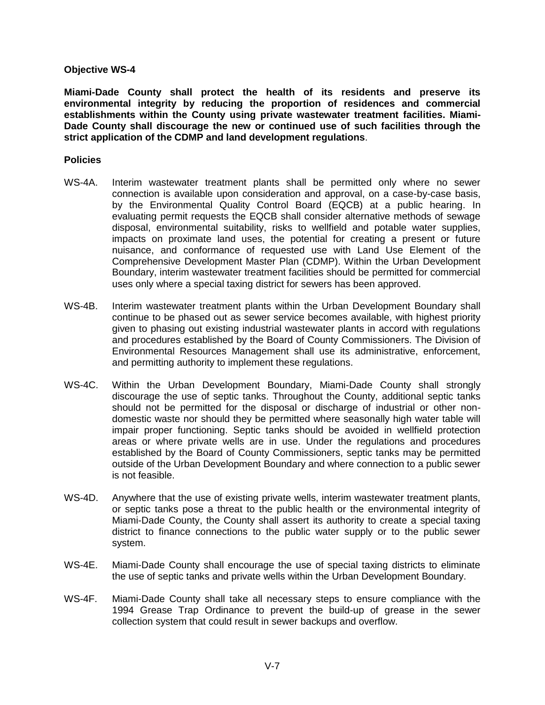**Miami-Dade County shall protect the health of its residents and preserve its environmental integrity by reducing the proportion of residences and commercial establishments within the County using private wastewater treatment facilities. Miami-Dade County shall discourage the new or continued use of such facilities through the strict application of the CDMP and land development regulations**.

- WS-4A. Interim wastewater treatment plants shall be permitted only where no sewer connection is available upon consideration and approval, on a case-by-case basis, by the Environmental Quality Control Board (EQCB) at a public hearing. In evaluating permit requests the EQCB shall consider alternative methods of sewage disposal, environmental suitability, risks to wellfield and potable water supplies, impacts on proximate land uses, the potential for creating a present or future nuisance, and conformance of requested use with Land Use Element of the Comprehensive Development Master Plan (CDMP). Within the Urban Development Boundary, interim wastewater treatment facilities should be permitted for commercial uses only where a special taxing district for sewers has been approved.
- WS-4B. Interim wastewater treatment plants within the Urban Development Boundary shall continue to be phased out as sewer service becomes available, with highest priority given to phasing out existing industrial wastewater plants in accord with regulations and procedures established by the Board of County Commissioners. The Division of Environmental Resources Management shall use its administrative, enforcement, and permitting authority to implement these regulations.
- WS-4C. Within the Urban Development Boundary, Miami-Dade County shall strongly discourage the use of septic tanks. Throughout the County, additional septic tanks should not be permitted for the disposal or discharge of industrial or other nondomestic waste nor should they be permitted where seasonally high water table will impair proper functioning. Septic tanks should be avoided in wellfield protection areas or where private wells are in use. Under the regulations and procedures established by the Board of County Commissioners, septic tanks may be permitted outside of the Urban Development Boundary and where connection to a public sewer is not feasible.
- WS-4D. Anywhere that the use of existing private wells, interim wastewater treatment plants, or septic tanks pose a threat to the public health or the environmental integrity of Miami-Dade County, the County shall assert its authority to create a special taxing district to finance connections to the public water supply or to the public sewer system.
- WS-4E. Miami-Dade County shall encourage the use of special taxing districts to eliminate the use of septic tanks and private wells within the Urban Development Boundary.
- WS-4F. Miami-Dade County shall take all necessary steps to ensure compliance with the 1994 Grease Trap Ordinance to prevent the build-up of grease in the sewer collection system that could result in sewer backups and overflow.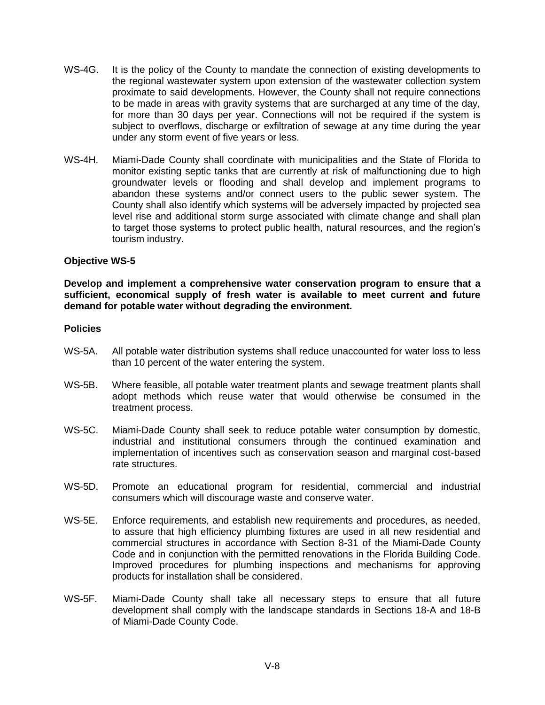- WS-4G. It is the policy of the County to mandate the connection of existing developments to the regional wastewater system upon extension of the wastewater collection system proximate to said developments. However, the County shall not require connections to be made in areas with gravity systems that are surcharged at any time of the day, for more than 30 days per year. Connections will not be required if the system is subject to overflows, discharge or exfiltration of sewage at any time during the year under any storm event of five years or less.
- WS-4H. Miami-Dade County shall coordinate with municipalities and the State of Florida to monitor existing septic tanks that are currently at risk of malfunctioning due to high groundwater levels or flooding and shall develop and implement programs to abandon these systems and/or connect users to the public sewer system. The County shall also identify which systems will be adversely impacted by projected sea level rise and additional storm surge associated with climate change and shall plan to target those systems to protect public health, natural resources, and the region's tourism industry.

**Develop and implement a comprehensive water conservation program to ensure that a sufficient, economical supply of fresh water is available to meet current and future demand for potable water without degrading the environment.**

- WS-5A. All potable water distribution systems shall reduce unaccounted for water loss to less than 10 percent of the water entering the system.
- WS-5B. Where feasible, all potable water treatment plants and sewage treatment plants shall adopt methods which reuse water that would otherwise be consumed in the treatment process.
- WS-5C. Miami-Dade County shall seek to reduce potable water consumption by domestic, industrial and institutional consumers through the continued examination and implementation of incentives such as conservation season and marginal cost-based rate structures.
- WS-5D. Promote an educational program for residential, commercial and industrial consumers which will discourage waste and conserve water.
- WS-5E. Enforce requirements, and establish new requirements and procedures, as needed, to assure that high efficiency plumbing fixtures are used in all new residential and commercial structures in accordance with Section 8-31 of the Miami-Dade County Code and in conjunction with the permitted renovations in the Florida Building Code. Improved procedures for plumbing inspections and mechanisms for approving products for installation shall be considered.
- WS-5F. Miami-Dade County shall take all necessary steps to ensure that all future development shall comply with the landscape standards in Sections 18-A and 18-B of Miami-Dade County Code.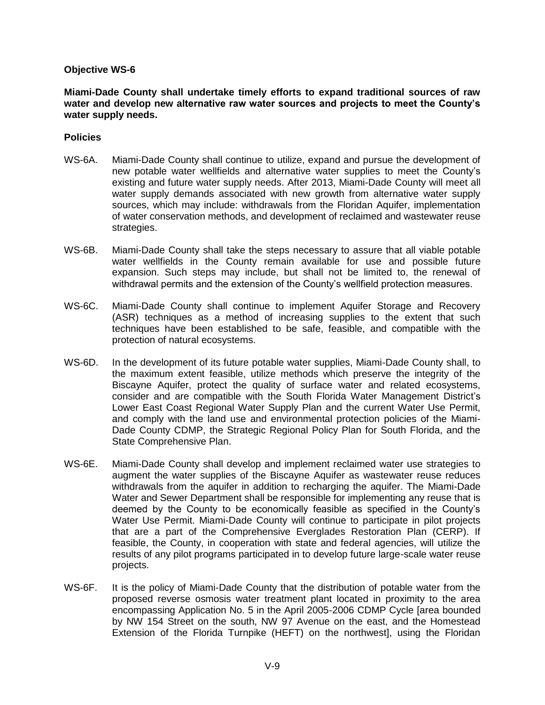**Miami-Dade County shall undertake timely efforts to expand traditional sources of raw water and develop new alternative raw water sources and projects to meet the County's water supply needs.**

- WS-6A. Miami-Dade County shall continue to utilize, expand and pursue the development of new potable water wellfields and alternative water supplies to meet the County's existing and future water supply needs. After 2013, Miami-Dade County will meet all water supply demands associated with new growth from alternative water supply sources, which may include: withdrawals from the Floridan Aquifer, implementation of water conservation methods, and development of reclaimed and wastewater reuse strategies.
- WS-6B. Miami-Dade County shall take the steps necessary to assure that all viable potable water wellfields in the County remain available for use and possible future expansion. Such steps may include, but shall not be limited to, the renewal of withdrawal permits and the extension of the County's wellfield protection measures.
- WS-6C. Miami-Dade County shall continue to implement Aquifer Storage and Recovery (ASR) techniques as a method of increasing supplies to the extent that such techniques have been established to be safe, feasible, and compatible with the protection of natural ecosystems.
- WS-6D. In the development of its future potable water supplies, Miami-Dade County shall, to the maximum extent feasible, utilize methods which preserve the integrity of the Biscayne Aquifer, protect the quality of surface water and related ecosystems, consider and are compatible with the South Florida Water Management District's Lower East Coast Regional Water Supply Plan and the current Water Use Permit, and comply with the land use and environmental protection policies of the Miami-Dade County CDMP, the Strategic Regional Policy Plan for South Florida, and the State Comprehensive Plan.
- WS-6E. Miami-Dade County shall develop and implement reclaimed water use strategies to augment the water supplies of the Biscayne Aquifer as wastewater reuse reduces withdrawals from the aquifer in addition to recharging the aquifer. The Miami-Dade Water and Sewer Department shall be responsible for implementing any reuse that is deemed by the County to be economically feasible as specified in the County's Water Use Permit. Miami-Dade County will continue to participate in pilot projects that are a part of the Comprehensive Everglades Restoration Plan (CERP). If feasible, the County, in cooperation with state and federal agencies, will utilize the results of any pilot programs participated in to develop future large-scale water reuse projects.
- WS-6F. It is the policy of Miami-Dade County that the distribution of potable water from the proposed reverse osmosis water treatment plant located in proximity to the area encompassing Application No. 5 in the April 2005-2006 CDMP Cycle [area bounded by NW 154 Street on the south, NW 97 Avenue on the east, and the Homestead Extension of the Florida Turnpike (HEFT) on the northwest], using the Floridan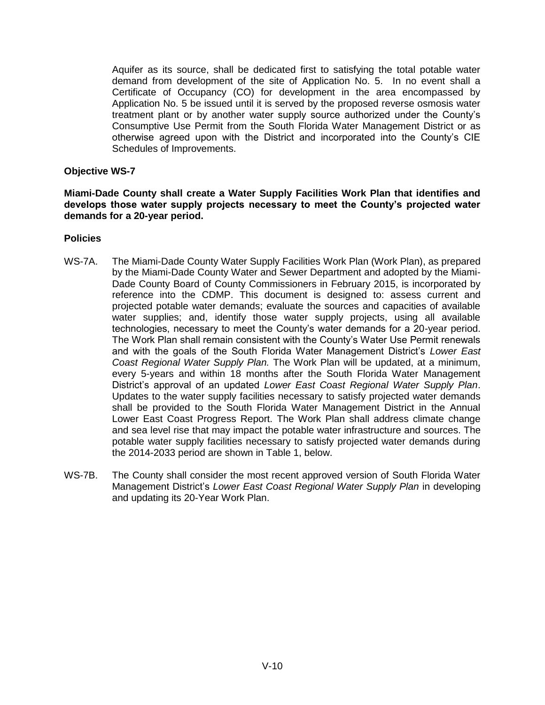Aquifer as its source, shall be dedicated first to satisfying the total potable water demand from development of the site of Application No. 5. In no event shall a Certificate of Occupancy (CO) for development in the area encompassed by Application No. 5 be issued until it is served by the proposed reverse osmosis water treatment plant or by another water supply source authorized under the County's Consumptive Use Permit from the South Florida Water Management District or as otherwise agreed upon with the District and incorporated into the County's CIE Schedules of Improvements.

## **Objective WS-7**

**Miami-Dade County shall create a Water Supply Facilities Work Plan that identifies and develops those water supply projects necessary to meet the County's projected water demands for a 20-year period.**

- WS-7A. The Miami-Dade County Water Supply Facilities Work Plan (Work Plan), as prepared by the Miami-Dade County Water and Sewer Department and adopted by the Miami-Dade County Board of County Commissioners in February 2015, is incorporated by reference into the CDMP. This document is designed to: assess current and projected potable water demands; evaluate the sources and capacities of available water supplies; and, identify those water supply projects, using all available technologies, necessary to meet the County's water demands for a 20-year period. The Work Plan shall remain consistent with the County's Water Use Permit renewals and with the goals of the South Florida Water Management District's *Lower East Coast Regional Water Supply Plan.* The Work Plan will be updated, at a minimum, every 5-years and within 18 months after the South Florida Water Management District's approval of an updated *Lower East Coast Regional Water Supply Plan*. Updates to the water supply facilities necessary to satisfy projected water demands shall be provided to the South Florida Water Management District in the Annual Lower East Coast Progress Report. The Work Plan shall address climate change and sea level rise that may impact the potable water infrastructure and sources. The potable water supply facilities necessary to satisfy projected water demands during the 2014-2033 period are shown in Table 1, below.
- WS-7B. The County shall consider the most recent approved version of South Florida Water Management District's *Lower East Coast Regional Water Supply Plan* in developing and updating its 20-Year Work Plan.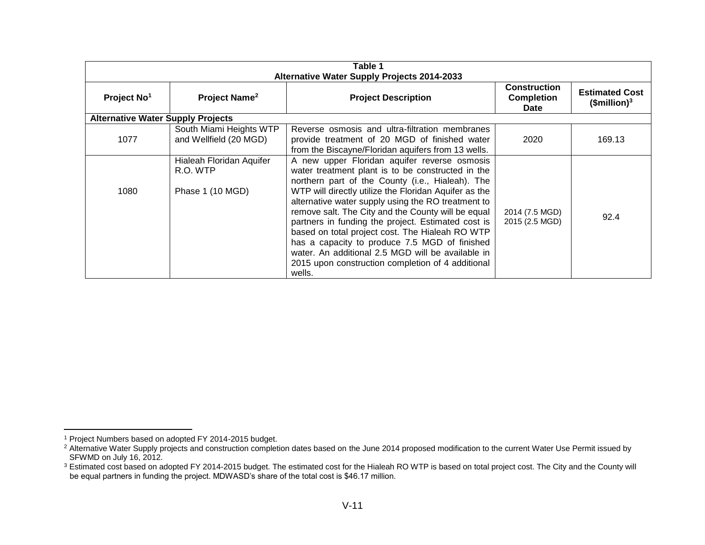| Table 1<br><b>Alternative Water Supply Projects 2014-2033</b> |                                                          |                                                                                                                                                                                                                                                                                                                                                                                                                                                                                                                                                                                                          |                                  |        |  |
|---------------------------------------------------------------|----------------------------------------------------------|----------------------------------------------------------------------------------------------------------------------------------------------------------------------------------------------------------------------------------------------------------------------------------------------------------------------------------------------------------------------------------------------------------------------------------------------------------------------------------------------------------------------------------------------------------------------------------------------------------|----------------------------------|--------|--|
|                                                               |                                                          |                                                                                                                                                                                                                                                                                                                                                                                                                                                                                                                                                                                                          |                                  |        |  |
| <b>Alternative Water Supply Projects</b>                      |                                                          |                                                                                                                                                                                                                                                                                                                                                                                                                                                                                                                                                                                                          |                                  |        |  |
| 1077                                                          | South Miami Heights WTP<br>and Wellfield (20 MGD)        | Reverse osmosis and ultra-filtration membranes<br>provide treatment of 20 MGD of finished water<br>from the Biscayne/Floridan aquifers from 13 wells.                                                                                                                                                                                                                                                                                                                                                                                                                                                    | 2020                             | 169.13 |  |
| 1080                                                          | Hialeah Floridan Aquifer<br>R.O. WTP<br>Phase 1 (10 MGD) | A new upper Floridan aquifer reverse osmosis<br>water treatment plant is to be constructed in the<br>northern part of the County (i.e., Hialeah). The<br>WTP will directly utilize the Floridan Aquifer as the<br>alternative water supply using the RO treatment to<br>remove salt. The City and the County will be equal<br>partners in funding the project. Estimated cost is<br>based on total project cost. The Hialeah RO WTP<br>has a capacity to produce 7.5 MGD of finished<br>water. An additional 2.5 MGD will be available in<br>2015 upon construction completion of 4 additional<br>wells. | 2014 (7.5 MGD)<br>2015 (2.5 MGD) | 92.4   |  |

 $\overline{a}$ 

<sup>1</sup> Project Numbers based on adopted FY 2014-2015 budget.

<sup>&</sup>lt;sup>2</sup> Alternative Water Supply projects and construction completion dates based on the June 2014 proposed modification to the current Water Use Permit issued by SFWMD on July 16, 2012.

 $3$  Estimated cost based on adopted FY 2014-2015 budget. The estimated cost for the Hialeah RO WTP is based on total project cost. The City and the County will be equal partners in funding the project. MDWASD's share of the total cost is \$46.17 million.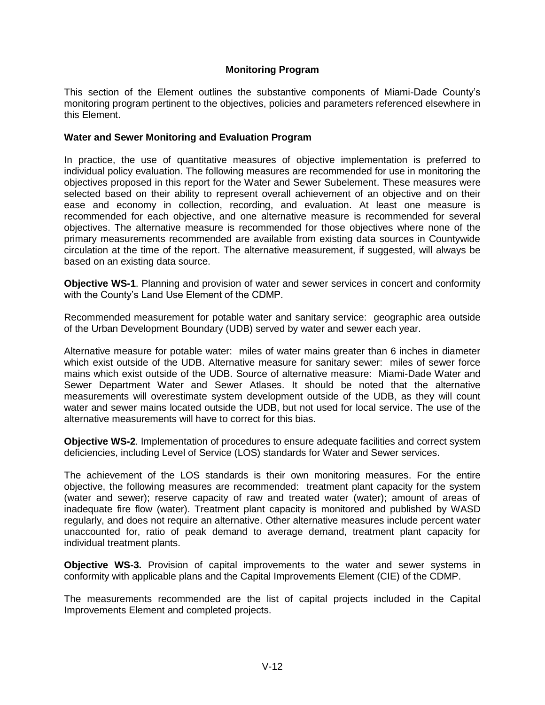## **Monitoring Program**

This section of the Element outlines the substantive components of Miami-Dade County's monitoring program pertinent to the objectives, policies and parameters referenced elsewhere in this Element.

## **Water and Sewer Monitoring and Evaluation Program**

In practice, the use of quantitative measures of objective implementation is preferred to individual policy evaluation. The following measures are recommended for use in monitoring the objectives proposed in this report for the Water and Sewer Subelement. These measures were selected based on their ability to represent overall achievement of an objective and on their ease and economy in collection, recording, and evaluation. At least one measure is recommended for each objective, and one alternative measure is recommended for several objectives. The alternative measure is recommended for those objectives where none of the primary measurements recommended are available from existing data sources in Countywide circulation at the time of the report. The alternative measurement, if suggested, will always be based on an existing data source.

**Objective WS-1**. Planning and provision of water and sewer services in concert and conformity with the County's Land Use Element of the CDMP.

Recommended measurement for potable water and sanitary service: geographic area outside of the Urban Development Boundary (UDB) served by water and sewer each year.

Alternative measure for potable water: miles of water mains greater than 6 inches in diameter which exist outside of the UDB. Alternative measure for sanitary sewer: miles of sewer force mains which exist outside of the UDB. Source of alternative measure: Miami-Dade Water and Sewer Department Water and Sewer Atlases. It should be noted that the alternative measurements will overestimate system development outside of the UDB, as they will count water and sewer mains located outside the UDB, but not used for local service. The use of the alternative measurements will have to correct for this bias.

**Objective WS-2**. Implementation of procedures to ensure adequate facilities and correct system deficiencies, including Level of Service (LOS) standards for Water and Sewer services.

The achievement of the LOS standards is their own monitoring measures. For the entire objective, the following measures are recommended: treatment plant capacity for the system (water and sewer); reserve capacity of raw and treated water (water); amount of areas of inadequate fire flow (water). Treatment plant capacity is monitored and published by WASD regularly, and does not require an alternative. Other alternative measures include percent water unaccounted for, ratio of peak demand to average demand, treatment plant capacity for individual treatment plants.

**Objective WS-3.** Provision of capital improvements to the water and sewer systems in conformity with applicable plans and the Capital Improvements Element (CIE) of the CDMP.

The measurements recommended are the list of capital projects included in the Capital Improvements Element and completed projects.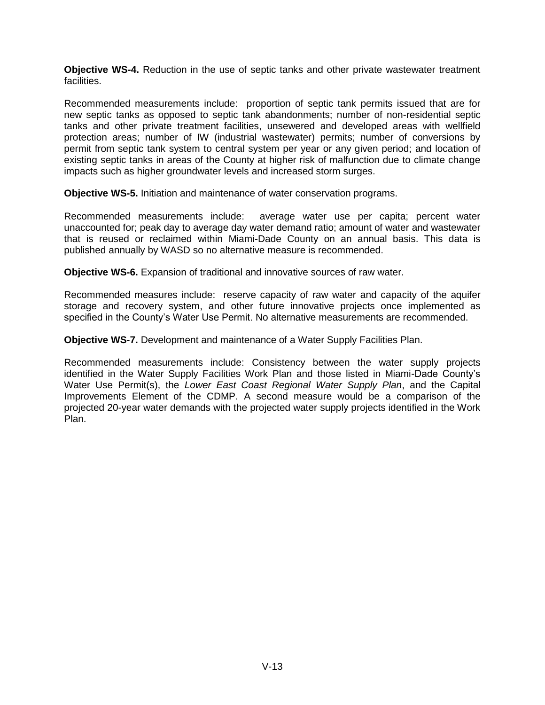**Objective WS-4.** Reduction in the use of septic tanks and other private wastewater treatment facilities.

Recommended measurements include: proportion of septic tank permits issued that are for new septic tanks as opposed to septic tank abandonments; number of non-residential septic tanks and other private treatment facilities, unsewered and developed areas with wellfield protection areas; number of IW (industrial wastewater) permits; number of conversions by permit from septic tank system to central system per year or any given period; and location of existing septic tanks in areas of the County at higher risk of malfunction due to climate change impacts such as higher groundwater levels and increased storm surges.

**Objective WS-5.** Initiation and maintenance of water conservation programs.

Recommended measurements include: average water use per capita; percent water unaccounted for; peak day to average day water demand ratio; amount of water and wastewater that is reused or reclaimed within Miami-Dade County on an annual basis. This data is published annually by WASD so no alternative measure is recommended.

**Objective WS-6.** Expansion of traditional and innovative sources of raw water.

Recommended measures include: reserve capacity of raw water and capacity of the aquifer storage and recovery system, and other future innovative projects once implemented as specified in the County's Water Use Permit. No alternative measurements are recommended.

**Objective WS-7.** Development and maintenance of a Water Supply Facilities Plan.

Recommended measurements include: Consistency between the water supply projects identified in the Water Supply Facilities Work Plan and those listed in Miami-Dade County's Water Use Permit(s), the *Lower East Coast Regional Water Supply Plan*, and the Capital Improvements Element of the CDMP. A second measure would be a comparison of the projected 20-year water demands with the projected water supply projects identified in the Work Plan.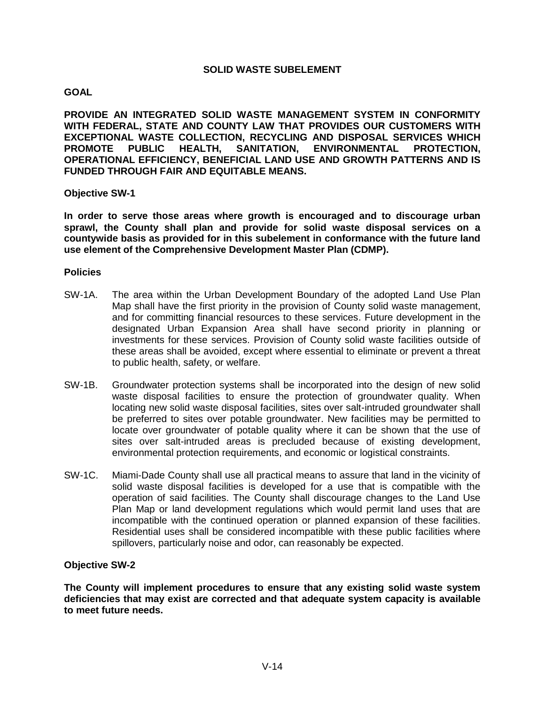## **GOAL**

**PROVIDE AN INTEGRATED SOLID WASTE MANAGEMENT SYSTEM IN CONFORMITY WITH FEDERAL, STATE AND COUNTY LAW THAT PROVIDES OUR CUSTOMERS WITH EXCEPTIONAL WASTE COLLECTION, RECYCLING AND DISPOSAL SERVICES WHICH PROMOTE PUBLIC HEALTH, SANITATION, ENVIRONMENTAL PROTECTION, OPERATIONAL EFFICIENCY, BENEFICIAL LAND USE AND GROWTH PATTERNS AND IS FUNDED THROUGH FAIR AND EQUITABLE MEANS.**

## **Objective SW-1**

**In order to serve those areas where growth is encouraged and to discourage urban sprawl, the County shall plan and provide for solid waste disposal services on a countywide basis as provided for in this subelement in conformance with the future land use element of the Comprehensive Development Master Plan (CDMP).**

## **Policies**

- SW-1A. The area within the Urban Development Boundary of the adopted Land Use Plan Map shall have the first priority in the provision of County solid waste management, and for committing financial resources to these services. Future development in the designated Urban Expansion Area shall have second priority in planning or investments for these services. Provision of County solid waste facilities outside of these areas shall be avoided, except where essential to eliminate or prevent a threat to public health, safety, or welfare.
- SW-1B. Groundwater protection systems shall be incorporated into the design of new solid waste disposal facilities to ensure the protection of groundwater quality. When locating new solid waste disposal facilities, sites over salt-intruded groundwater shall be preferred to sites over potable groundwater. New facilities may be permitted to locate over groundwater of potable quality where it can be shown that the use of sites over salt-intruded areas is precluded because of existing development, environmental protection requirements, and economic or logistical constraints.
- SW-1C. Miami-Dade County shall use all practical means to assure that land in the vicinity of solid waste disposal facilities is developed for a use that is compatible with the operation of said facilities. The County shall discourage changes to the Land Use Plan Map or land development regulations which would permit land uses that are incompatible with the continued operation or planned expansion of these facilities. Residential uses shall be considered incompatible with these public facilities where spillovers, particularly noise and odor, can reasonably be expected.

## **Objective SW-2**

**The County will implement procedures to ensure that any existing solid waste system deficiencies that may exist are corrected and that adequate system capacity is available to meet future needs.**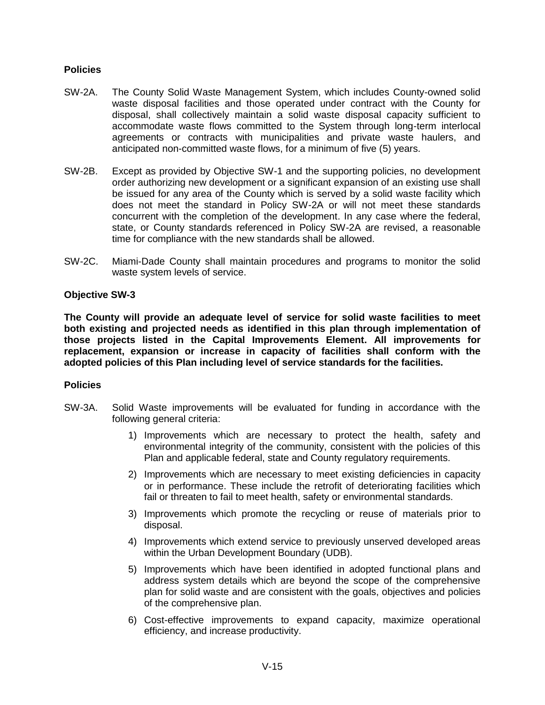## **Policies**

- SW-2A. The County Solid Waste Management System, which includes County-owned solid waste disposal facilities and those operated under contract with the County for disposal, shall collectively maintain a solid waste disposal capacity sufficient to accommodate waste flows committed to the System through long-term interlocal agreements or contracts with municipalities and private waste haulers, and anticipated non-committed waste flows, for a minimum of five (5) years.
- SW-2B. Except as provided by Objective SW-1 and the supporting policies, no development order authorizing new development or a significant expansion of an existing use shall be issued for any area of the County which is served by a solid waste facility which does not meet the standard in Policy SW-2A or will not meet these standards concurrent with the completion of the development. In any case where the federal, state, or County standards referenced in Policy SW-2A are revised, a reasonable time for compliance with the new standards shall be allowed.
- SW-2C. Miami-Dade County shall maintain procedures and programs to monitor the solid waste system levels of service.

## **Objective SW-3**

**The County will provide an adequate level of service for solid waste facilities to meet both existing and projected needs as identified in this plan through implementation of those projects listed in the Capital Improvements Element. All improvements for replacement, expansion or increase in capacity of facilities shall conform with the adopted policies of this Plan including level of service standards for the facilities.**

- SW-3A. Solid Waste improvements will be evaluated for funding in accordance with the following general criteria:
	- 1) Improvements which are necessary to protect the health, safety and environmental integrity of the community, consistent with the policies of this Plan and applicable federal, state and County regulatory requirements.
	- 2) Improvements which are necessary to meet existing deficiencies in capacity or in performance. These include the retrofit of deteriorating facilities which fail or threaten to fail to meet health, safety or environmental standards.
	- 3) Improvements which promote the recycling or reuse of materials prior to disposal.
	- 4) Improvements which extend service to previously unserved developed areas within the Urban Development Boundary (UDB).
	- 5) Improvements which have been identified in adopted functional plans and address system details which are beyond the scope of the comprehensive plan for solid waste and are consistent with the goals, objectives and policies of the comprehensive plan.
	- 6) Cost-effective improvements to expand capacity, maximize operational efficiency, and increase productivity.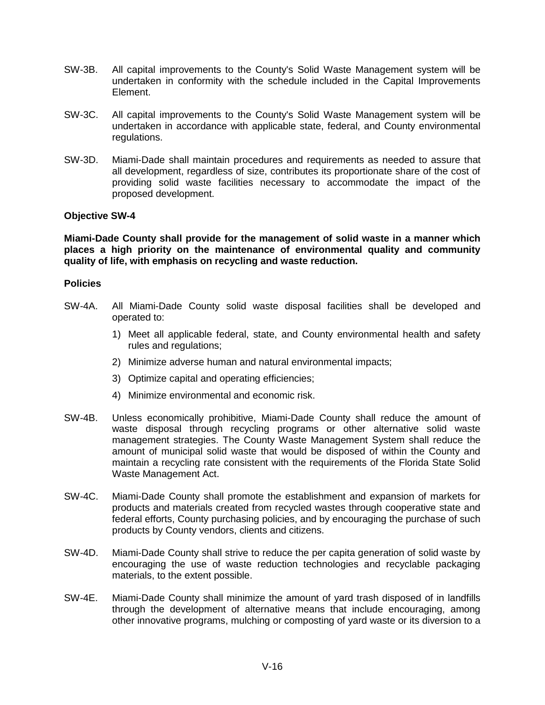- SW-3B. All capital improvements to the County's Solid Waste Management system will be undertaken in conformity with the schedule included in the Capital Improvements Element.
- SW-3C. All capital improvements to the County's Solid Waste Management system will be undertaken in accordance with applicable state, federal, and County environmental regulations.
- SW-3D. Miami-Dade shall maintain procedures and requirements as needed to assure that all development, regardless of size, contributes its proportionate share of the cost of providing solid waste facilities necessary to accommodate the impact of the proposed development.

**Miami-Dade County shall provide for the management of solid waste in a manner which places a high priority on the maintenance of environmental quality and community quality of life, with emphasis on recycling and waste reduction.**

- SW-4A. All Miami-Dade County solid waste disposal facilities shall be developed and operated to:
	- 1) Meet all applicable federal, state, and County environmental health and safety rules and regulations;
	- 2) Minimize adverse human and natural environmental impacts;
	- 3) Optimize capital and operating efficiencies;
	- 4) Minimize environmental and economic risk.
- SW-4B. Unless economically prohibitive, Miami-Dade County shall reduce the amount of waste disposal through recycling programs or other alternative solid waste management strategies. The County Waste Management System shall reduce the amount of municipal solid waste that would be disposed of within the County and maintain a recycling rate consistent with the requirements of the Florida State Solid Waste Management Act.
- SW-4C. Miami-Dade County shall promote the establishment and expansion of markets for products and materials created from recycled wastes through cooperative state and federal efforts, County purchasing policies, and by encouraging the purchase of such products by County vendors, clients and citizens.
- SW-4D. Miami-Dade County shall strive to reduce the per capita generation of solid waste by encouraging the use of waste reduction technologies and recyclable packaging materials, to the extent possible.
- SW-4E. Miami-Dade County shall minimize the amount of yard trash disposed of in landfills through the development of alternative means that include encouraging, among other innovative programs, mulching or composting of yard waste or its diversion to a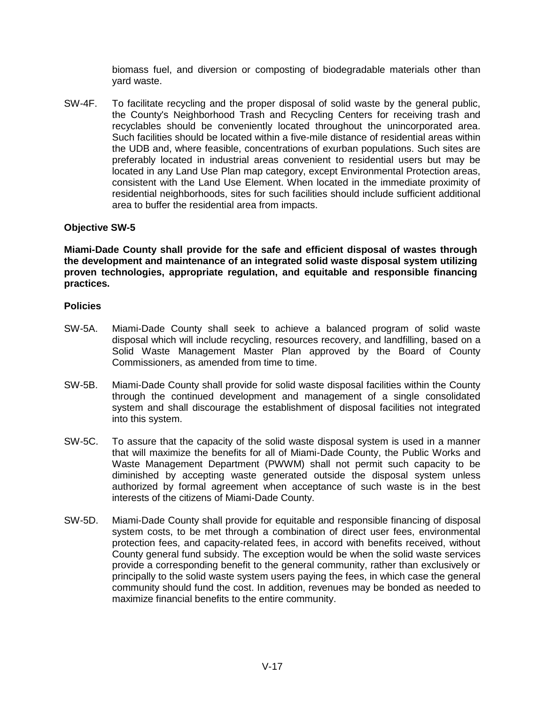biomass fuel, and diversion or composting of biodegradable materials other than yard waste.

SW-4F. To facilitate recycling and the proper disposal of solid waste by the general public, the County's Neighborhood Trash and Recycling Centers for receiving trash and recyclables should be conveniently located throughout the unincorporated area. Such facilities should be located within a five-mile distance of residential areas within the UDB and, where feasible, concentrations of exurban populations. Such sites are preferably located in industrial areas convenient to residential users but may be located in any Land Use Plan map category, except Environmental Protection areas, consistent with the Land Use Element. When located in the immediate proximity of residential neighborhoods, sites for such facilities should include sufficient additional area to buffer the residential area from impacts.

## **Objective SW-5**

**Miami-Dade County shall provide for the safe and efficient disposal of wastes through the development and maintenance of an integrated solid waste disposal system utilizing proven technologies, appropriate regulation, and equitable and responsible financing practices.** 

- SW-5A. Miami-Dade County shall seek to achieve a balanced program of solid waste disposal which will include recycling, resources recovery, and landfilling, based on a Solid Waste Management Master Plan approved by the Board of County Commissioners, as amended from time to time.
- SW-5B. Miami-Dade County shall provide for solid waste disposal facilities within the County through the continued development and management of a single consolidated system and shall discourage the establishment of disposal facilities not integrated into this system.
- SW-5C. To assure that the capacity of the solid waste disposal system is used in a manner that will maximize the benefits for all of Miami-Dade County, the Public Works and Waste Management Department (PWWM) shall not permit such capacity to be diminished by accepting waste generated outside the disposal system unless authorized by formal agreement when acceptance of such waste is in the best interests of the citizens of Miami-Dade County.
- SW-5D. Miami-Dade County shall provide for equitable and responsible financing of disposal system costs, to be met through a combination of direct user fees, environmental protection fees, and capacity-related fees, in accord with benefits received, without County general fund subsidy. The exception would be when the solid waste services provide a corresponding benefit to the general community, rather than exclusively or principally to the solid waste system users paying the fees, in which case the general community should fund the cost. In addition, revenues may be bonded as needed to maximize financial benefits to the entire community.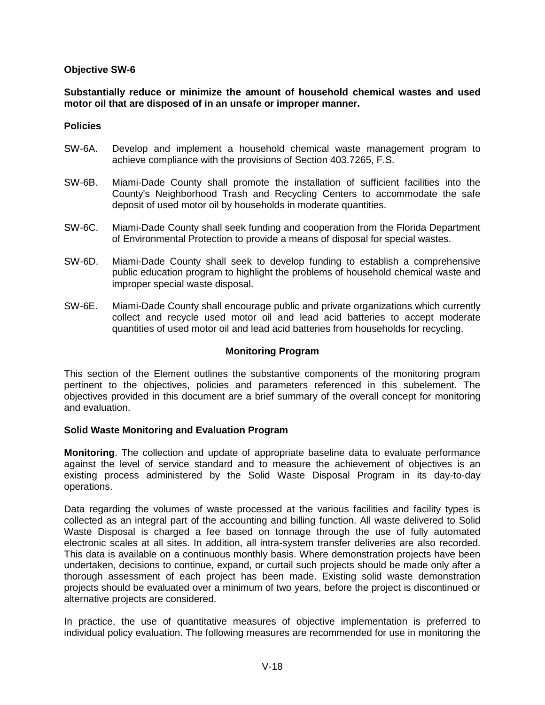**Substantially reduce or minimize the amount of household chemical wastes and used motor oil that are disposed of in an unsafe or improper manner.**

#### **Policies**

- SW-6A. Develop and implement a household chemical waste management program to achieve compliance with the provisions of Section 403.7265, F.S.
- SW-6B. Miami-Dade County shall promote the installation of sufficient facilities into the County's Neighborhood Trash and Recycling Centers to accommodate the safe deposit of used motor oil by households in moderate quantities.
- SW-6C. Miami-Dade County shall seek funding and cooperation from the Florida Department of Environmental Protection to provide a means of disposal for special wastes.
- SW-6D. Miami-Dade County shall seek to develop funding to establish a comprehensive public education program to highlight the problems of household chemical waste and improper special waste disposal.
- SW-6E. Miami-Dade County shall encourage public and private organizations which currently collect and recycle used motor oil and lead acid batteries to accept moderate quantities of used motor oil and lead acid batteries from households for recycling.

## **Monitoring Program**

This section of the Element outlines the substantive components of the monitoring program pertinent to the objectives, policies and parameters referenced in this subelement. The objectives provided in this document are a brief summary of the overall concept for monitoring and evaluation.

## **Solid Waste Monitoring and Evaluation Program**

**Monitoring**. The collection and update of appropriate baseline data to evaluate performance against the level of service standard and to measure the achievement of objectives is an existing process administered by the Solid Waste Disposal Program in its day-to-day operations.

Data regarding the volumes of waste processed at the various facilities and facility types is collected as an integral part of the accounting and billing function. All waste delivered to Solid Waste Disposal is charged a fee based on tonnage through the use of fully automated electronic scales at all sites. In addition, all intra-system transfer deliveries are also recorded. This data is available on a continuous monthly basis. Where demonstration projects have been undertaken, decisions to continue, expand, or curtail such projects should be made only after a thorough assessment of each project has been made. Existing solid waste demonstration projects should be evaluated over a minimum of two years, before the project is discontinued or alternative projects are considered.

In practice, the use of quantitative measures of objective implementation is preferred to individual policy evaluation. The following measures are recommended for use in monitoring the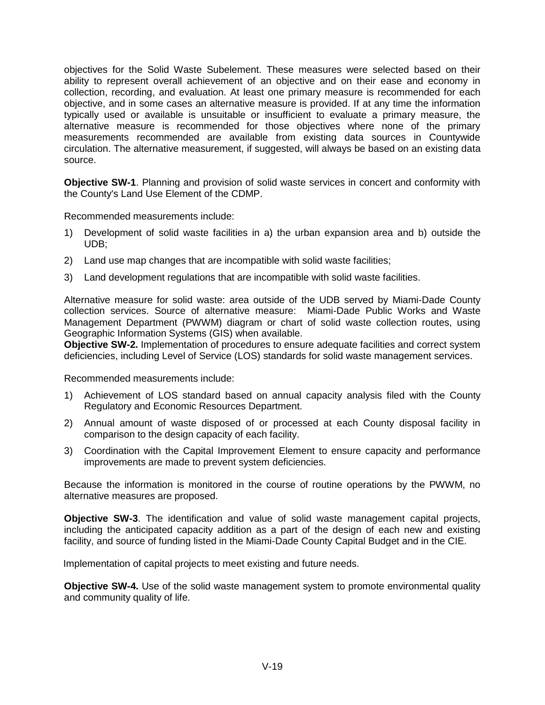objectives for the Solid Waste Subelement. These measures were selected based on their ability to represent overall achievement of an objective and on their ease and economy in collection, recording, and evaluation. At least one primary measure is recommended for each objective, and in some cases an alternative measure is provided. If at any time the information typically used or available is unsuitable or insufficient to evaluate a primary measure, the alternative measure is recommended for those objectives where none of the primary measurements recommended are available from existing data sources in Countywide circulation. The alternative measurement, if suggested, will always be based on an existing data source.

**Objective SW-1**. Planning and provision of solid waste services in concert and conformity with the County's Land Use Element of the CDMP.

Recommended measurements include:

- 1) Development of solid waste facilities in a) the urban expansion area and b) outside the UDB;
- 2) Land use map changes that are incompatible with solid waste facilities;
- 3) Land development regulations that are incompatible with solid waste facilities.

Alternative measure for solid waste: area outside of the UDB served by Miami-Dade County collection services. Source of alternative measure: Miami-Dade Public Works and Waste Management Department (PWWM) diagram or chart of solid waste collection routes, using Geographic Information Systems (GIS) when available.

**Objective SW-2.** Implementation of procedures to ensure adequate facilities and correct system deficiencies, including Level of Service (LOS) standards for solid waste management services.

Recommended measurements include:

- 1) Achievement of LOS standard based on annual capacity analysis filed with the County Regulatory and Economic Resources Department.
- 2) Annual amount of waste disposed of or processed at each County disposal facility in comparison to the design capacity of each facility.
- 3) Coordination with the Capital Improvement Element to ensure capacity and performance improvements are made to prevent system deficiencies.

Because the information is monitored in the course of routine operations by the PWWM, no alternative measures are proposed.

**Objective SW-3**. The identification and value of solid waste management capital projects, including the anticipated capacity addition as a part of the design of each new and existing facility, and source of funding listed in the Miami-Dade County Capital Budget and in the CIE.

Implementation of capital projects to meet existing and future needs.

**Objective SW-4.** Use of the solid waste management system to promote environmental quality and community quality of life.